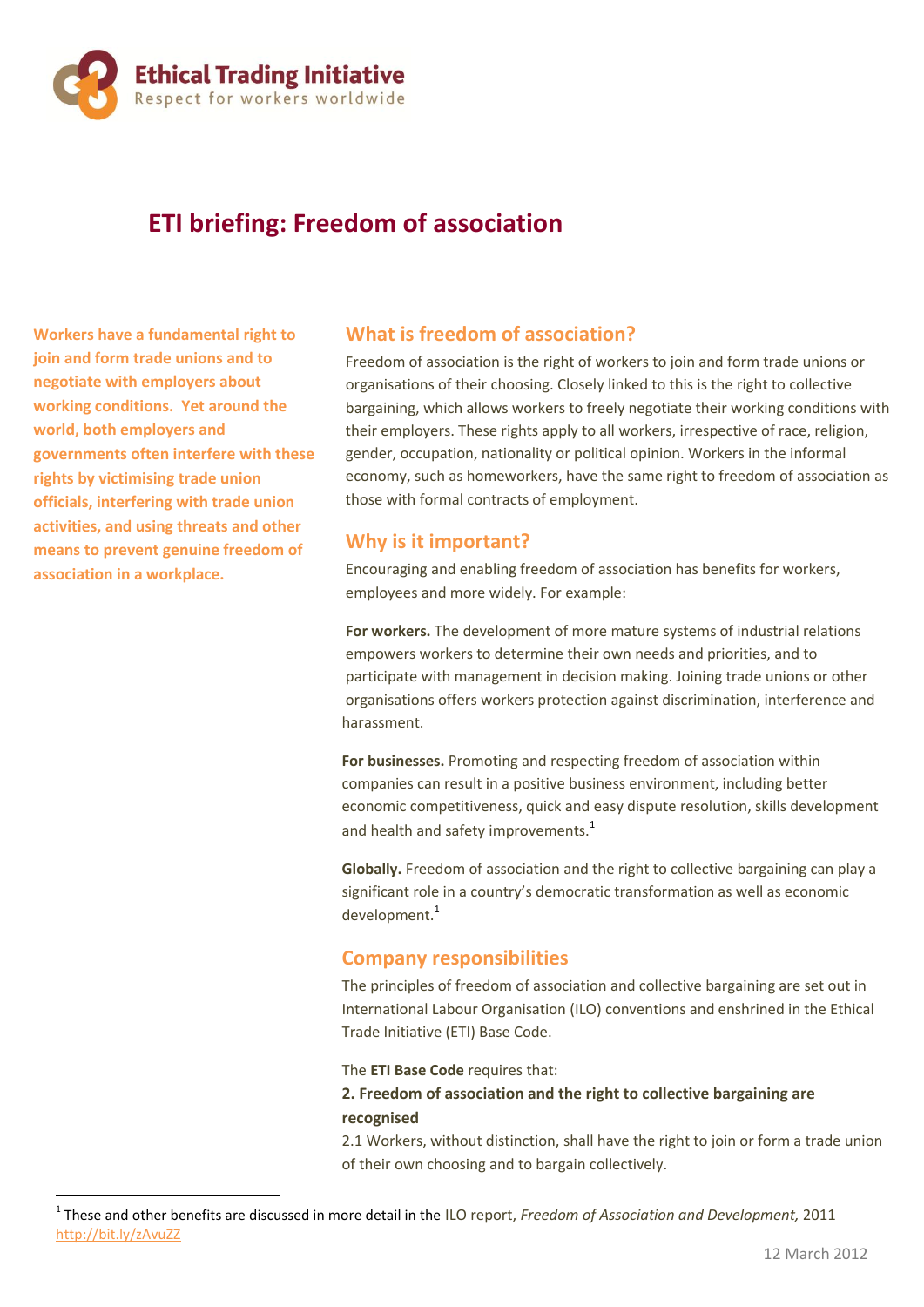

# **ETI briefing: Freedom of association**

**Workers have a fundamental right to join and form trade unions and to negotiate with employers about working conditions. Yet around the world, both employers and governments often interfere with these rights by victimising trade union officials, interfering with trade union activities, and using threats and other means to prevent genuine freedom of association in a workplace.** 

1

## **What is freedom of association?**

Freedom of association is the right of workers to join and form trade unions or organisations of their choosing. Closely linked to this is the right to collective bargaining, which allows workers to freely negotiate their working conditions with their employers. These rights apply to all workers, irrespective of race, religion, gender, occupation, nationality or political opinion. Workers in the informal economy, such as homeworkers, have the same right to freedom of association as those with formal contracts of employment.

### **Why is it important?**

Encouraging and enabling freedom of association has benefits for workers, employees and more widely. For example:

**For workers.** The development of more mature systems of industrial relations empowers workers to determine their own needs and priorities, and to participate with management in decision making. Joining trade unions or other organisations offers workers protection against discrimination, interference and harassment.

**For businesses.** Promoting and respecting freedom of association within companies can result in a positive business environment, including better economic competitiveness, quick and easy dispute resolution, skills development and health and safety improvements. $1$ 

**Globally.** Freedom of association and the right to collective bargaining can play a significant role in a country's democratic transformation as well as economic development.<sup>1</sup>

#### **Company responsibilities**

The principles of freedom of association and collective bargaining are set out in International Labour Organisation (ILO) conventions and enshrined in the Ethical Trade Initiative (ETI) Base Code.

The **ETI Base Code** requires that:

#### **2. Freedom of association and the right to collective bargaining are recognised**

2.1 Workers, without distinction, shall have the right to join or form a trade union of their own choosing and to bargain collectively.

<sup>1</sup> These and other benefits are discussed in more detail in the ILO report, *Freedom of Association and Development,* 2011 <http://bit.ly/zAvuZZ>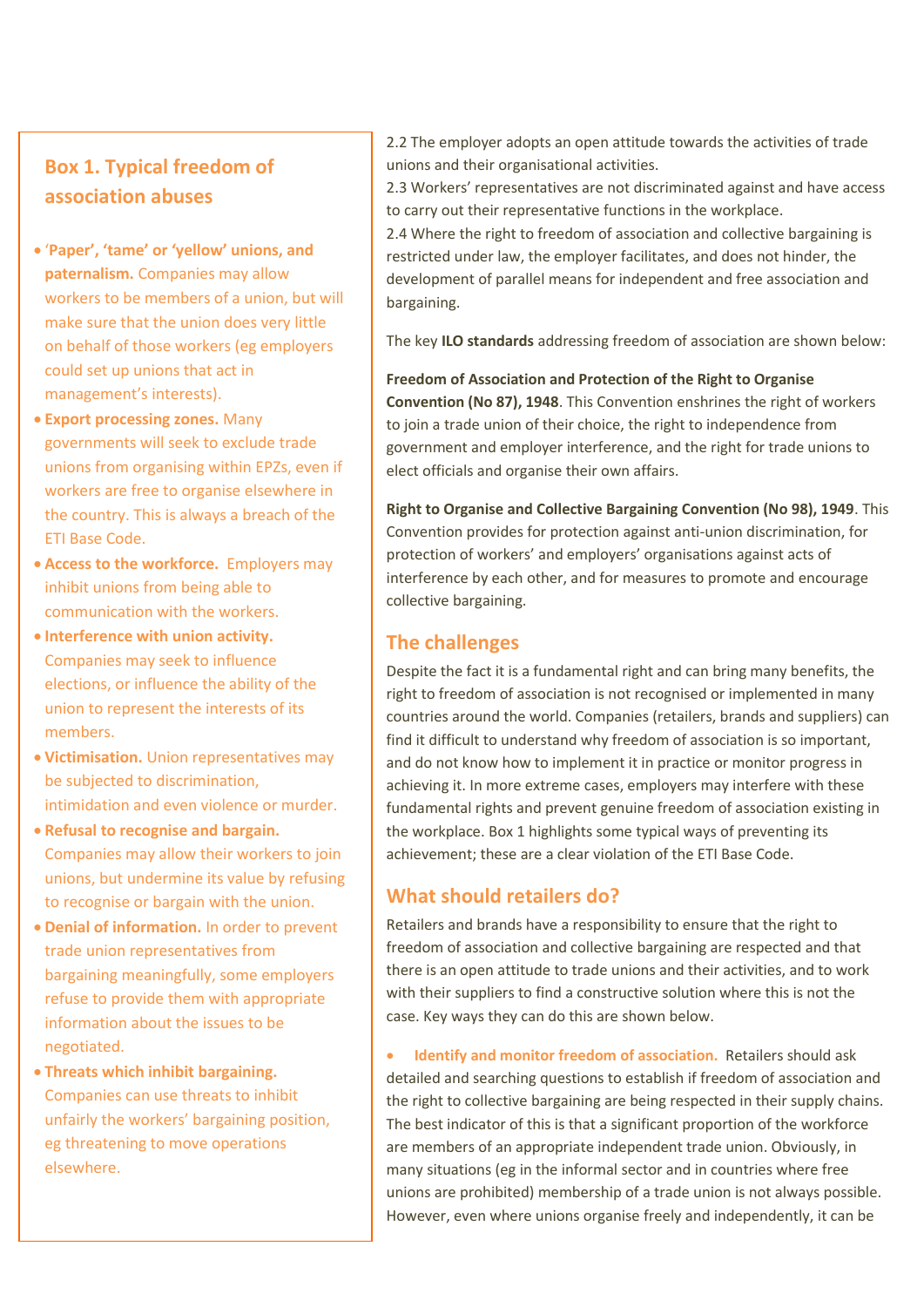## **Box 1. Typical freedom of association abuses**

- '**Paper', 'tame' or 'yellow' unions, and paternalism.** Companies may allow workers to be members of a union, but will make sure that the union does very little on behalf of those workers (eg employers could set up unions that act in management's interests).
- **Export processing zones.** Many governments will seek to exclude trade unions from organising within EPZs, even if workers are free to organise elsewhere in the country. This is always a breach of the ETI Base Code.
- **Access to the workforce.** Employers may inhibit unions from being able to communication with the workers.
- **Interference with union activity.** Companies may seek to influence elections, or influence the ability of the union to represent the interests of its members.
- **Victimisation.** Union representatives may be subjected to discrimination, intimidation and even violence or murder.
- **Refusal to recognise and bargain.** Companies may allow their workers to join unions, but undermine its value by refusing to recognise or bargain with the union.
- **Denial of information.** In order to prevent trade union representatives from bargaining meaningfully, some employers refuse to provide them with appropriate information about the issues to be negotiated.
- **Threats which inhibit bargaining.** Companies can use threats to inhibit unfairly the workers' bargaining position, eg threatening to move operations elsewhere.

2.2 The employer adopts an open attitude towards the activities of trade unions and their organisational activities.

2.3 Workers' representatives are not discriminated against and have access to carry out their representative functions in the workplace.

2.4 Where the right to freedom of association and collective bargaining is restricted under law, the employer facilitates, and does not hinder, the development of parallel means for independent and free association and bargaining.

The key **ILO standards** addressing freedom of association are shown below:

**Freedom of Association and Protection of the Right to Organise Convention (No 87), 1948**. This Convention enshrines the right of workers to join a trade union of their choice, the right to independence from government and employer interference, and the right for trade unions to elect officials and organise their own affairs.

**Right to Organise and Collective Bargaining Convention (No 98), 1949**. This Convention provides for protection against anti-union discrimination, for protection of workers' and employers' organisations against acts of interference by each other, and for measures to promote and encourage collective bargaining.

## **The challenges**

Despite the fact it is a fundamental right and can bring many benefits, the right to freedom of association is not recognised or implemented in many countries around the world. Companies (retailers, brands and suppliers) can find it difficult to understand why freedom of association is so important, and do not know how to implement it in practice or monitor progress in achieving it. In more extreme cases, employers may interfere with these fundamental rights and prevent genuine freedom of association existing in the workplace. Box 1 highlights some typical ways of preventing its achievement; these are a clear violation of the ETI Base Code.

## **What should retailers do?**

Retailers and brands have a responsibility to ensure that the right to freedom of association and collective bargaining are respected and that there is an open attitude to trade unions and their activities, and to work with their suppliers to find a constructive solution where this is not the case. Key ways they can do this are shown below.

 **Identify and monitor freedom of association.** Retailers should ask detailed and searching questions to establish if freedom of association and the right to collective bargaining are being respected in their supply chains. The best indicator of this is that a significant proportion of the workforce are members of an appropriate independent trade union. Obviously, in many situations (eg in the informal sector and in countries where free unions are prohibited) membership of a trade union is not always possible. However, even where unions organise freely and independently, it can be